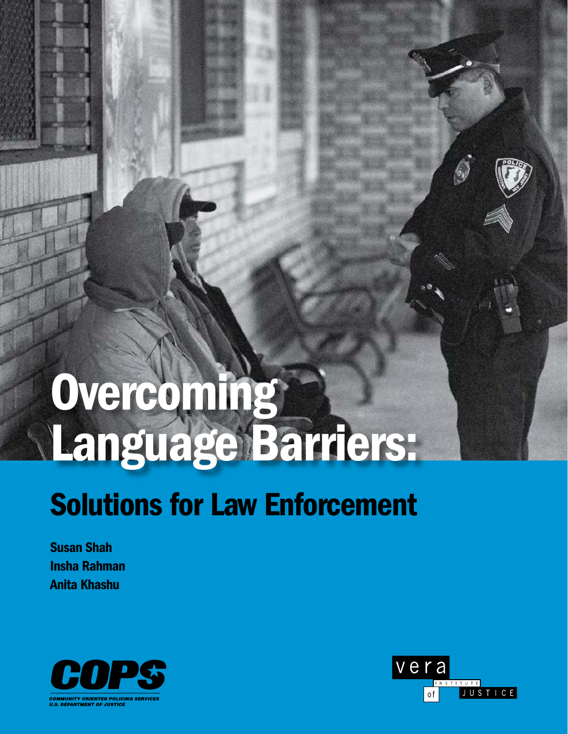# Overcoming Language Barriers:

## Solutions for Law Enforcement

Susan Shah Insha Rahman Anita Khashu



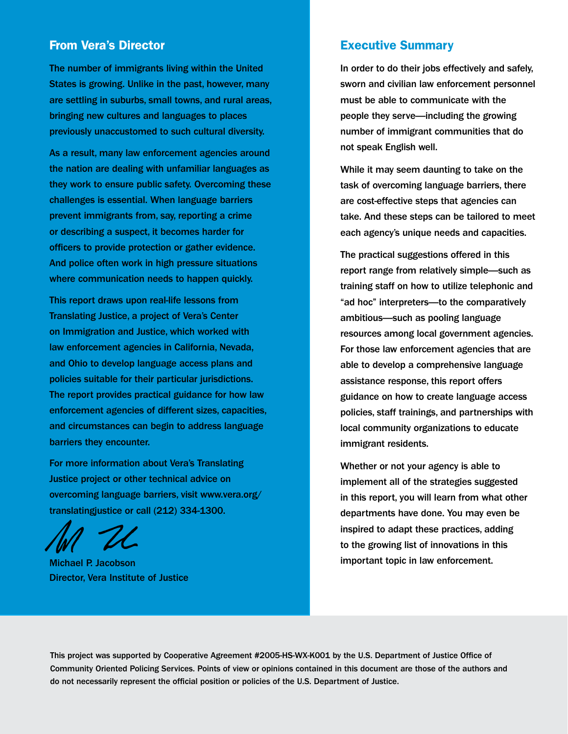#### From Vera's Director

The number of immigrants living within the United States is growing. Unlike in the past, however, many are settling in suburbs, small towns, and rural areas, bringing new cultures and languages to places previously unaccustomed to such cultural diversity.

As a result, many law enforcement agencies around the nation are dealing with unfamiliar languages as they work to ensure public safety. Overcoming these challenges is essential. When language barriers prevent immigrants from, say, reporting a crime or describing a suspect, it becomes harder for officers to provide protection or gather evidence. And police often work in high pressure situations where communication needs to happen quickly.

This report draws upon real-life lessons from Translating Justice, a project of Vera's Center on Immigration and Justice, which worked with law enforcement agencies in California, Nevada, and Ohio to develop language access plans and policies suitable for their particular jurisdictions. The report provides practical guidance for how law enforcement agencies of different sizes, capacities, and circumstances can begin to address language barriers they encounter.

For more information about Vera's Translating Justice project or other technical advice on overcoming language barriers, visit www.vera.org/ translatingjustice or call (212) 334-1300.

Michael P. Jacobson Director, Vera Institute of Justice

#### Executive Summary

In order to do their jobs effectively and safely, sworn and civilian law enforcement personnel must be able to communicate with the people they serve—including the growing number of immigrant communities that do not speak English well.

While it may seem daunting to take on the task of overcoming language barriers, there are cost-effective steps that agencies can take. And these steps can be tailored to meet each agency's unique needs and capacities.

The practical suggestions offered in this report range from relatively simple—such as training staff on how to utilize telephonic and "ad hoc" interpreters—to the comparatively ambitious—such as pooling language resources among local government agencies. For those law enforcement agencies that are able to develop a comprehensive language assistance response, this report offers guidance on how to create language access policies, staff trainings, and partnerships with local community organizations to educate immigrant residents.

Whether or not your agency is able to implement all of the strategies suggested in this report, you will learn from what other departments have done. You may even be inspired to adapt these practices, adding to the growing list of innovations in this important topic in law enforcement.

This project was supported by Cooperative Agreement #2005-HS-WX-K001 by the U.S. Department of Justice Office of Community Oriented Policing Services. Points of view or opinions contained in this document are those of the authors and do not necessarily represent the official position or policies of the U.S. Department of Justice.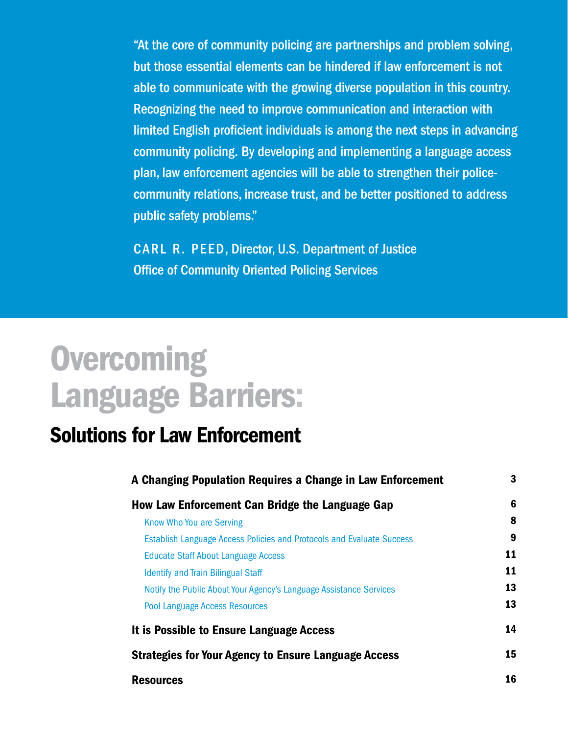"At the core of community policing are partnerships and problem solving, but those essential elements can be hindered if law enforcement is not able to communicate with the growing diverse population in this country. Recognizing the need to improve communication and interaction with limited English proficient individuals is among the next steps in advancing community policing. By developing and implementing a language access plan, law enforcement agencies will be able to strengthen their policecommunity relations, increase trust, and be better positioned to address public safety problems."

CARL R. PEED, Director, U.S. Department of Justice Office of Community Oriented Policing Services

## **Overcoming** Language Barriers:

## Solutions for Law Enforcement

| A Changing Population Requires a Change in Law Enforcement                   | 3  |
|------------------------------------------------------------------------------|----|
| How Law Enforcement Can Bridge the Language Gap                              | 6  |
| Know Who You are Serving                                                     | 8  |
| <b>Establish Language Access Policies and Protocols and Evaluate Success</b> | 9  |
| <b>Educate Staff About Language Access</b>                                   | 11 |
| <b>Identify and Train Bilingual Staff</b>                                    | 11 |
| Notify the Public About Your Agency's Language Assistance Services           | 13 |
| <b>Pool Language Access Resources</b>                                        | 13 |
| It is Possible to Ensure Language Access                                     | 14 |
| <b>Strategies for Your Agency to Ensure Language Access</b>                  | 15 |
| <b>Resources</b>                                                             | 16 |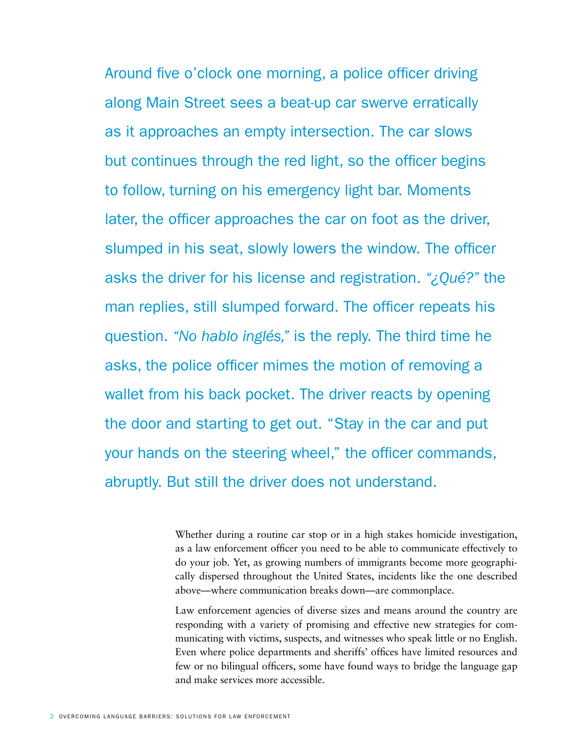Around five o'clock one morning, a police officer driving along Main Street sees a beat-up car swerve erratically as it approaches an empty intersection. The car slows but continues through the red light, so the officer begins to follow, turning on his emergency light bar. Moments later, the officer approaches the car on foot as the driver, slumped in his seat, slowly lowers the window. The officer asks the driver for his license and registration. *"¿Qué?"* the man replies, still slumped forward. The officer repeats his question. *"No hablo inglés,"* is the reply. The third time he asks, the police officer mimes the motion of removing a wallet from his back pocket. The driver reacts by opening the door and starting to get out. "Stay in the car and put your hands on the steering wheel," the officer commands, abruptly. But still the driver does not understand.

> Whether during a routine car stop or in a high stakes homicide investigation, as a law enforcement officer you need to be able to communicate effectively to do your job. Yet, as growing numbers of immigrants become more geographically dispersed throughout the United States, incidents like the one described above—where communication breaks down—are commonplace.

> Law enforcement agencies of diverse sizes and means around the country are responding with a variety of promising and effective new strategies for communicating with victims, suspects, and witnesses who speak little or no English. Even where police departments and sheriffs' offices have limited resources and few or no bilingual officers, some have found ways to bridge the language gap and make services more accessible.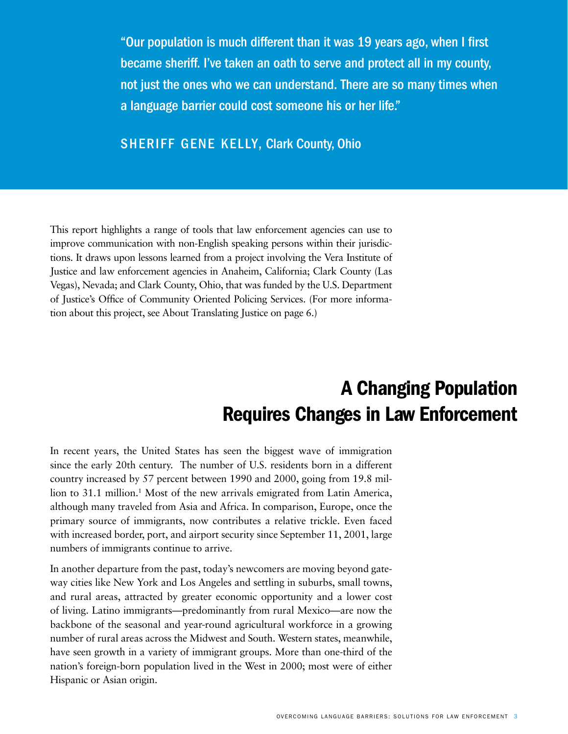"Our population is much different than it was 19 years ago, when I first became sheriff. I've taken an oath to serve and protect all in my county, not just the ones who we can understand. There are so many times when a language barrier could cost someone his or her life."

SHERIFF GENE KELLY, Clark County, Ohio

This report highlights a range of tools that law enforcement agencies can use to improve communication with non-English speaking persons within their jurisdictions. It draws upon lessons learned from a project involving the Vera Institute of Justice and law enforcement agencies in Anaheim, California; Clark County (Las Vegas), Nevada; and Clark County, Ohio, that was funded by the U.S. Department of Justice's Office of Community Oriented Policing Services. (For more information about this project, see About Translating Justice on page 6.)

## A Changing Population Requires Changes in Law Enforcement

In recent years, the United States has seen the biggest wave of immigration since the early 20th century. The number of U.S. residents born in a different country increased by 57 percent between 1990 and 2000, going from 19.8 million to 31.1 million.<sup>1</sup> Most of the new arrivals emigrated from Latin America, although many traveled from Asia and Africa. In comparison, Europe, once the primary source of immigrants, now contributes a relative trickle. Even faced with increased border, port, and airport security since September 11, 2001, large numbers of immigrants continue to arrive.

In another departure from the past, today's newcomers are moving beyond gateway cities like New York and Los Angeles and settling in suburbs, small towns, and rural areas, attracted by greater economic opportunity and a lower cost of living. Latino immigrants—predominantly from rural Mexico—are now the backbone of the seasonal and year-round agricultural workforce in a growing number of rural areas across the Midwest and South. Western states, meanwhile, have seen growth in a variety of immigrant groups. More than one-third of the nation's foreign-born population lived in the West in 2000; most were of either Hispanic or Asian origin.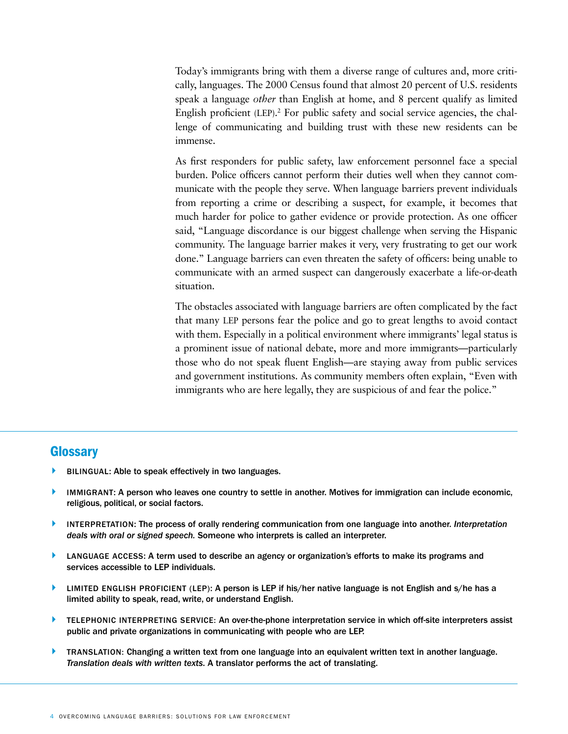Today's immigrants bring with them a diverse range of cultures and, more critically, languages. The 2000 Census found that almost 20 percent of U.S. residents speak a language *other* than English at home, and 8 percent qualify as limited English proficient (LEP).<sup>2</sup> For public safety and social service agencies, the challenge of communicating and building trust with these new residents can be immense.

As first responders for public safety, law enforcement personnel face a special burden. Police officers cannot perform their duties well when they cannot communicate with the people they serve. When language barriers prevent individuals from reporting a crime or describing a suspect, for example, it becomes that much harder for police to gather evidence or provide protection. As one officer said, "Language discordance is our biggest challenge when serving the Hispanic community. The language barrier makes it very, very frustrating to get our work done." Language barriers can even threaten the safety of officers: being unable to communicate with an armed suspect can dangerously exacerbate a life-or-death situation.

The obstacles associated with language barriers are often complicated by the fact that many LEP persons fear the police and go to great lengths to avoid contact with them. Especially in a political environment where immigrants' legal status is a prominent issue of national debate, more and more immigrants—particularly those who do not speak fluent English—are staying away from public services and government institutions. As community members often explain, "Even with immigrants who are here legally, they are suspicious of and fear the police."

#### Glossary

- BILINGUAL: Able to speak effectively in two languages.
- IMMIGRANT: A person who leaves one country to settle in another. Motives for immigration can include economic, religious, political, or social factors.
- A Interpretation: The process of orally rendering communication from one language into another. *Interpretation deals with oral or signed speech.* Someone who interprets is called an interpreter.
- LANGUAGE ACCESS: A term used to describe an agency or organization's efforts to make its programs and services accessible to LEP individuals.
- $\blacktriangleright$  LIMITED ENGLISH PROFICIENT (LEP): A person is LEP if his/her native language is not English and s/he has a limited ability to speak, read, write, or understand English.
- **A TELEPHONIC INTERPRETING SERVICE: An over-the-phone interpretation service in which off-site interpreters assist** public and private organizations in communicating with people who are LEP.
- **A TRANSLATION: Changing a written text from one language into an equivalent written text in another language.** *Translation deals with written texts*. A translator performs the act of translating.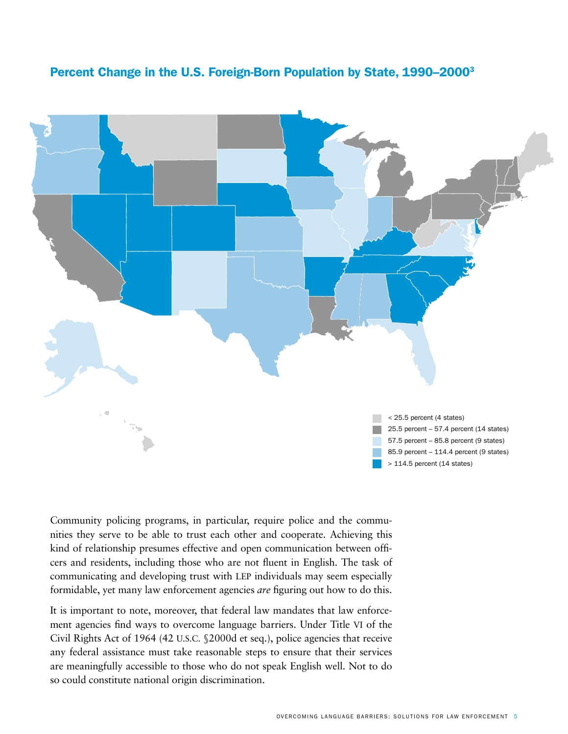

#### Community policing programs, in particular, require police and the communities they serve to be able to trust each other and cooperate. Achieving this kind of relationship presumes effective and open communication between officers and residents, including those who are not fluent in English. The task of communicating and developing trust with LEP individuals may seem especially formidable, yet many law enforcement agencies *are* figuring out how to do this.

It is important to note, moreover, that federal law mandates that law enforcement agencies find ways to overcome language barriers. Under Title VI of the Civil Rights Act of 1964 (42 U.S.C. §2000d et seq.), police agencies that receive any federal assistance must take reasonable steps to ensure that their services are meaningfully accessible to those who do not speak English well. Not to do so could constitute national origin discrimination.

#### Percent Change in the U.S. Foreign-Born Population by State, 1990–20003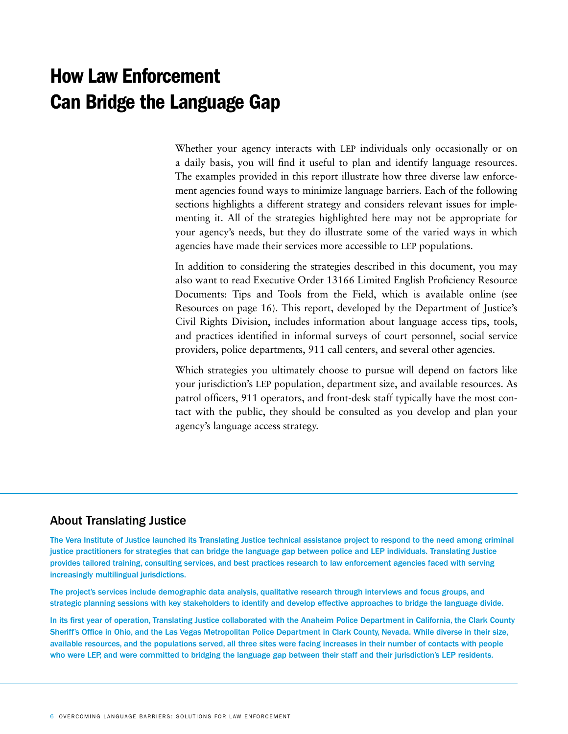## How Law Enforcement Can Bridge the Language Gap

Whether your agency interacts with LEP individuals only occasionally or on a daily basis, you will find it useful to plan and identify language resources. The examples provided in this report illustrate how three diverse law enforcement agencies found ways to minimize language barriers. Each of the following sections highlights a different strategy and considers relevant issues for implementing it. All of the strategies highlighted here may not be appropriate for your agency's needs, but they do illustrate some of the varied ways in which agencies have made their services more accessible to LEP populations.

In addition to considering the strategies described in this document, you may also want to read Executive Order 13166 Limited English Proficiency Resource Documents: Tips and Tools from the Field, which is available online (see Resources on page 16). This report, developed by the Department of Justice's Civil Rights Division, includes information about language access tips, tools, and practices identified in informal surveys of court personnel, social service providers, police departments, 911 call centers, and several other agencies.

Which strategies you ultimately choose to pursue will depend on factors like your jurisdiction's LEP population, department size, and available resources. As patrol officers, 911 operators, and front-desk staff typically have the most contact with the public, they should be consulted as you develop and plan your agency's language access strategy.

#### About Translating Justice

The Vera Institute of Justice launched its Translating Justice technical assistance project to respond to the need among criminal justice practitioners for strategies that can bridge the language gap between police and LEP individuals. Translating Justice provides tailored training, consulting services, and best practices research to law enforcement agencies faced with serving increasingly multilingual jurisdictions.

The project's services include demographic data analysis, qualitative research through interviews and focus groups, and strategic planning sessions with key stakeholders to identify and develop effective approaches to bridge the language divide.

In its first year of operation, Translating Justice collaborated with the Anaheim Police Department in California, the Clark County Sheriff's Office in Ohio, and the Las Vegas Metropolitan Police Department in Clark County, Nevada. While diverse in their size, available resources, and the populations served, all three sites were facing increases in their number of contacts with people who were LEP, and were committed to bridging the language gap between their staff and their jurisdiction's LEP residents.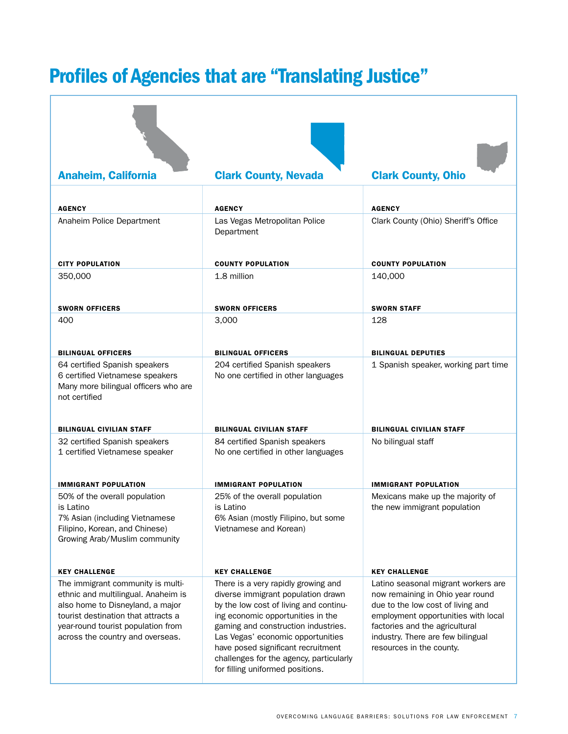## Profiles of Agencies that are "Translating Justice"

| <b>Anaheim, California</b>                                                                                                | <b>Clark County, Nevada</b>                                                  | <b>Clark County, Ohio</b>                                             |
|---------------------------------------------------------------------------------------------------------------------------|------------------------------------------------------------------------------|-----------------------------------------------------------------------|
|                                                                                                                           |                                                                              |                                                                       |
| <b>AGENCY</b>                                                                                                             | <b>AGENCY</b>                                                                | <b>AGENCY</b>                                                         |
| Anaheim Police Department                                                                                                 | Las Vegas Metropolitan Police<br>Department                                  | Clark County (Ohio) Sheriff's Office                                  |
| <b>CITY POPULATION</b>                                                                                                    | <b>COUNTY POPULATION</b>                                                     | <b>COUNTY POPULATION</b>                                              |
| 350,000                                                                                                                   | 1.8 million                                                                  | 140,000                                                               |
|                                                                                                                           |                                                                              |                                                                       |
| <b>SWORN OFFICERS</b>                                                                                                     | <b>SWORN OFFICERS</b>                                                        | <b>SWORN STAFF</b>                                                    |
| 400                                                                                                                       | 3,000                                                                        | 128                                                                   |
|                                                                                                                           |                                                                              |                                                                       |
| <b>BILINGUAL OFFICERS</b>                                                                                                 | <b>BILINGUAL OFFICERS</b>                                                    | <b>BILINGUAL DEPUTIES</b>                                             |
| 64 certified Spanish speakers<br>6 certified Vietnamese speakers<br>Many more bilingual officers who are<br>not certified | 204 certified Spanish speakers<br>No one certified in other languages        | 1 Spanish speaker, working part time                                  |
| <b>BILINGUAL CIVILIAN STAFF</b>                                                                                           | <b>BILINGUAL CIVILIAN STAFF</b>                                              | <b>BILINGUAL CIVILIAN STAFF</b>                                       |
| 32 certified Spanish speakers                                                                                             | 84 certified Spanish speakers                                                | No bilingual staff                                                    |
| 1 certified Vietnamese speaker                                                                                            | No one certified in other languages                                          |                                                                       |
|                                                                                                                           |                                                                              |                                                                       |
| <b>IMMIGRANT POPULATION</b>                                                                                               | <b>IMMIGRANT POPULATION</b>                                                  | <b>IMMIGRANT POPULATION</b>                                           |
| 50% of the overall population<br>is Latino                                                                                | 25% of the overall population<br>is Latino                                   | Mexicans make up the majority of<br>the new immigrant population      |
| 7% Asian (including Vietnamese                                                                                            | 6% Asian (mostly Filipino, but some                                          |                                                                       |
| Filipino, Korean, and Chinese)<br>Growing Arab/Muslim community                                                           | Vietnamese and Korean)                                                       |                                                                       |
|                                                                                                                           |                                                                              |                                                                       |
| <b>KEY CHALLENGE</b>                                                                                                      | <b>KEY CHALLENGE</b>                                                         | <b>KEY CHALLENGE</b>                                                  |
| The immigrant community is multi-                                                                                         | There is a very rapidly growing and                                          | Latino seasonal migrant workers are                                   |
| ethnic and multilingual. Anaheim is<br>also home to Disneyland, a major                                                   | diverse immigrant population drawn<br>by the low cost of living and continu- | now remaining in Ohio year round<br>due to the low cost of living and |
| tourist destination that attracts a                                                                                       | ing economic opportunities in the                                            | employment opportunities with local                                   |
| year-round tourist population from                                                                                        | gaming and construction industries.                                          | factories and the agricultural                                        |
| across the country and overseas.                                                                                          | Las Vegas' economic opportunities<br>have posed significant recruitment      | industry. There are few bilingual<br>resources in the county.         |
|                                                                                                                           | challenges for the agency, particularly                                      |                                                                       |
|                                                                                                                           | for filling uniformed positions.                                             |                                                                       |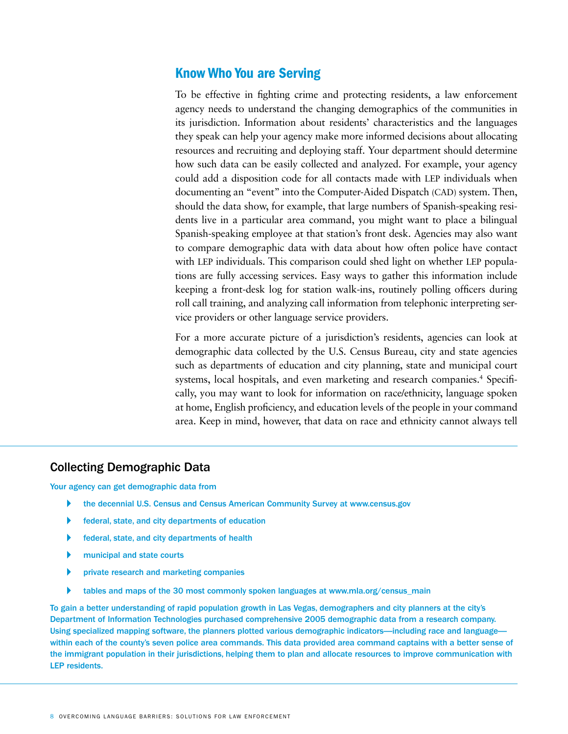#### Know Who You are Serving

To be effective in fighting crime and protecting residents, a law enforcement agency needs to understand the changing demographics of the communities in its jurisdiction. Information about residents' characteristics and the languages they speak can help your agency make more informed decisions about allocating resources and recruiting and deploying staff. Your department should determine how such data can be easily collected and analyzed. For example, your agency could add a disposition code for all contacts made with LEP individuals when documenting an "event" into the Computer-Aided Dispatch (CAD) system. Then, should the data show, for example, that large numbers of Spanish-speaking residents live in a particular area command, you might want to place a bilingual Spanish-speaking employee at that station's front desk. Agencies may also want to compare demographic data with data about how often police have contact with LEP individuals. This comparison could shed light on whether LEP populations are fully accessing services. Easy ways to gather this information include keeping a front-desk log for station walk-ins, routinely polling officers during roll call training, and analyzing call information from telephonic interpreting service providers or other language service providers.

For a more accurate picture of a jurisdiction's residents, agencies can look at demographic data collected by the U.S. Census Bureau, city and state agencies such as departments of education and city planning, state and municipal court systems, local hospitals, and even marketing and research companies.<sup>4</sup> Specifically, you may want to look for information on race/ethnicity, language spoken at home, English proficiency, and education levels of the people in your command area. Keep in mind, however, that data on race and ethnicity cannot always tell

#### Collecting Demographic Data

Your agency can get demographic data from

- the decennial U.S. Census and Census American Community Survey at www.census.gov
- federal, state, and city departments of education
- $\blacktriangleright$  federal, state, and city departments of health
- municipal and state courts
- private research and marketing companies
- tables and maps of the 30 most commonly spoken languages at www.mla.org/census\_main

To gain a better understanding of rapid population growth in Las Vegas, demographers and city planners at the city's Department of Information Technologies purchased comprehensive 2005 demographic data from a research company. Using specialized mapping software, the planners plotted various demographic indicators—including race and language within each of the county's seven police area commands. This data provided area command captains with a better sense of the immigrant population in their jurisdictions, helping them to plan and allocate resources to improve communication with LEP residents.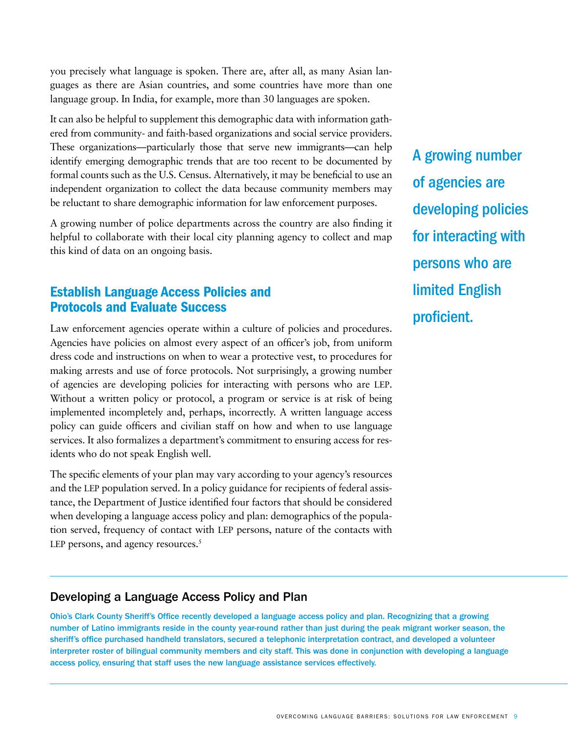you precisely what language is spoken. There are, after all, as many Asian languages as there are Asian countries, and some countries have more than one language group. In India, for example, more than 30 languages are spoken.

It can also be helpful to supplement this demographic data with information gathered from community- and faith-based organizations and social service providers. These organizations—particularly those that serve new immigrants—can help identify emerging demographic trends that are too recent to be documented by formal counts such as the U.S. Census. Alternatively, it may be beneficial to use an independent organization to collect the data because community members may be reluctant to share demographic information for law enforcement purposes.

A growing number of police departments across the country are also finding it helpful to collaborate with their local city planning agency to collect and map this kind of data on an ongoing basis.

#### Establish Language Access Policies and Protocols and Evaluate Success

Law enforcement agencies operate within a culture of policies and procedures. Agencies have policies on almost every aspect of an officer's job, from uniform dress code and instructions on when to wear a protective vest, to procedures for making arrests and use of force protocols. Not surprisingly, a growing number of agencies are developing policies for interacting with persons who are LEP. Without a written policy or protocol, a program or service is at risk of being implemented incompletely and, perhaps, incorrectly. A written language access policy can guide officers and civilian staff on how and when to use language services. It also formalizes a department's commitment to ensuring access for residents who do not speak English well.

The specific elements of your plan may vary according to your agency's resources and the LEP population served. In a policy guidance for recipients of federal assistance, the Department of Justice identified four factors that should be considered when developing a language access policy and plan: demographics of the population served, frequency of contact with LEP persons, nature of the contacts with LEP persons, and agency resources. $5$ 

A growing number of agencies are developing policies for interacting with persons who are limited English proficient.

#### Developing a Language Access Policy and Plan

Ohio's Clark County Sheriff's Office recently developed a language access policy and plan. Recognizing that a growing number of Latino immigrants reside in the county year-round rather than just during the peak migrant worker season, the sheriff's office purchased handheld translators, secured a telephonic interpretation contract, and developed a volunteer interpreter roster of bilingual community members and city staff. This was done in conjunction with developing a language access policy, ensuring that staff uses the new language assistance services effectively.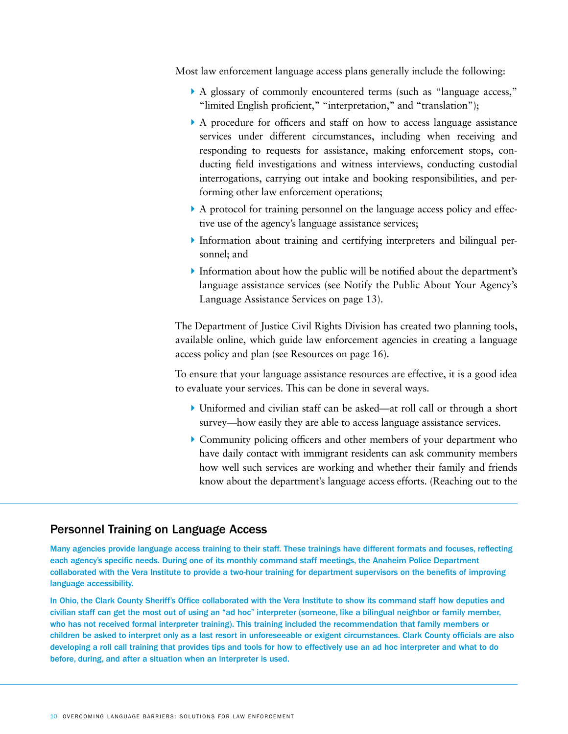Most law enforcement language access plans generally include the following:

- A A glossary of commonly encountered terms (such as "language access," "limited English proficient," "interpretation," and "translation");
- A A procedure for officers and staff on how to access language assistance services under different circumstances, including when receiving and responding to requests for assistance, making enforcement stops, conducting field investigations and witness interviews, conducting custodial interrogations, carrying out intake and booking responsibilities, and performing other law enforcement operations;
- A A protocol for training personnel on the language access policy and effective use of the agency's language assistance services;
- A Information about training and certifying interpreters and bilingual personnel; and
- $\blacktriangleright$  Information about how the public will be notified about the department's language assistance services (see Notify the Public About Your Agency's Language Assistance Services on page 13).

The Department of Justice Civil Rights Division has created two planning tools, available online, which guide law enforcement agencies in creating a language access policy and plan (see Resources on page 16).

To ensure that your language assistance resources are effective, it is a good idea to evaluate your services. This can be done in several ways.

- A Uniformed and civilian staff can be asked—at roll call or through a short survey—how easily they are able to access language assistance services.
- A Community policing officers and other members of your department who have daily contact with immigrant residents can ask community members how well such services are working and whether their family and friends know about the department's language access efforts. (Reaching out to the

#### Personnel Training on Language Access

Many agencies provide language access training to their staff. These trainings have different formats and focuses, reflecting each agency's specific needs. During one of its monthly command staff meetings, the Anaheim Police Department collaborated with the Vera Institute to provide a two-hour training for department supervisors on the benefits of improving language accessibility.

In Ohio, the Clark County Sheriff's Office collaborated with the Vera Institute to show its command staff how deputies and civilian staff can get the most out of using an "ad hoc" interpreter (someone, like a bilingual neighbor or family member, who has not received formal interpreter training). This training included the recommendation that family members or children be asked to interpret only as a last resort in unforeseeable or exigent circumstances. Clark County officials are also developing a roll call training that provides tips and tools for how to effectively use an ad hoc interpreter and what to do before, during, and after a situation when an interpreter is used.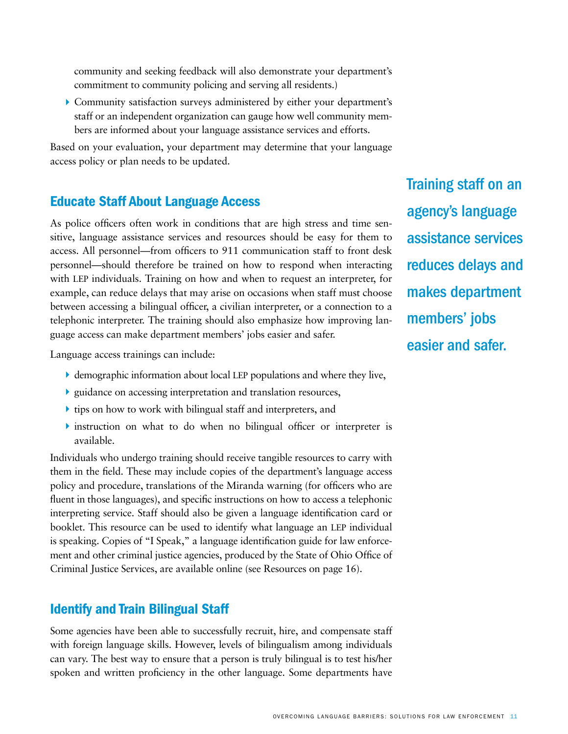community and seeking feedback will also demonstrate your department's commitment to community policing and serving all residents.)

A Community satisfaction surveys administered by either your department's staff or an independent organization can gauge how well community members are informed about your language assistance services and efforts.

Based on your evaluation, your department may determine that your language access policy or plan needs to be updated.

#### Educate Staff About Language Access

As police officers often work in conditions that are high stress and time sensitive, language assistance services and resources should be easy for them to access. All personnel—from officers to 911 communication staff to front desk personnel—should therefore be trained on how to respond when interacting with LEP individuals. Training on how and when to request an interpreter, for example, can reduce delays that may arise on occasions when staff must choose between accessing a bilingual officer, a civilian interpreter, or a connection to a telephonic interpreter. The training should also emphasize how improving language access can make department members' jobs easier and safer.

Language access trainings can include:

- $\blacktriangleright$  demographic information about local LEP populations and where they live,
- A guidance on accessing interpretation and translation resources,
- $\blacktriangleright$  tips on how to work with bilingual staff and interpreters, and
- $\triangleright$  instruction on what to do when no bilingual officer or interpreter is available.

Individuals who undergo training should receive tangible resources to carry with them in the field. These may include copies of the department's language access policy and procedure, translations of the Miranda warning (for officers who are fluent in those languages), and specific instructions on how to access a telephonic interpreting service. Staff should also be given a language identification card or booklet. This resource can be used to identify what language an LEP individual is speaking. Copies of "I Speak," a language identification guide for law enforcement and other criminal justice agencies, produced by the State of Ohio Office of Criminal Justice Services, are available online (see Resources on page 16).

#### Identify and Train Bilingual Staff

Some agencies have been able to successfully recruit, hire, and compensate staff with foreign language skills. However, levels of bilingualism among individuals can vary. The best way to ensure that a person is truly bilingual is to test his/her spoken and written proficiency in the other language. Some departments have

Training staff on an agency's language assistance services reduces delays and makes department members' jobs easier and safer.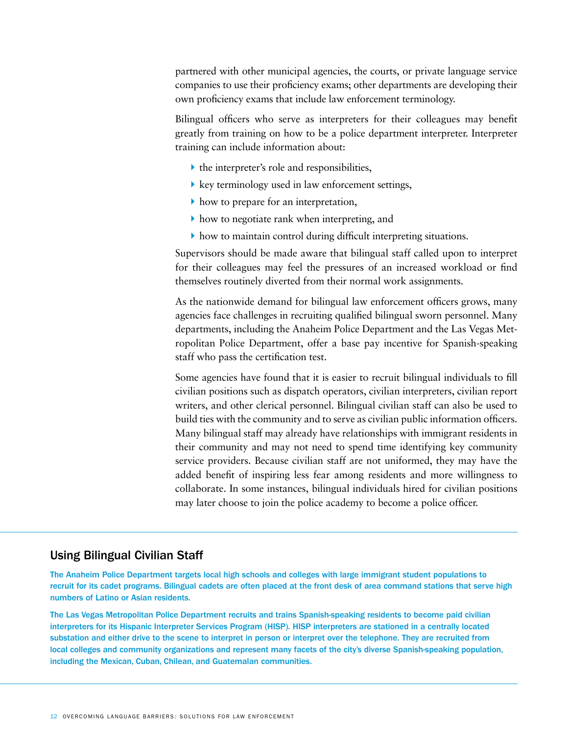partnered with other municipal agencies, the courts, or private language service companies to use their proficiency exams; other departments are developing their own proficiency exams that include law enforcement terminology.

Bilingual officers who serve as interpreters for their colleagues may benefit greatly from training on how to be a police department interpreter. Interpreter training can include information about:

- $\blacktriangleright$  the interpreter's role and responsibilities,
- $\blacktriangleright$  key terminology used in law enforcement settings,
- $\blacktriangleright$  how to prepare for an interpretation,
- how to negotiate rank when interpreting, and
- A how to maintain control during difficult interpreting situations.

Supervisors should be made aware that bilingual staff called upon to interpret for their colleagues may feel the pressures of an increased workload or find themselves routinely diverted from their normal work assignments.

As the nationwide demand for bilingual law enforcement officers grows, many agencies face challenges in recruiting qualified bilingual sworn personnel. Many departments, including the Anaheim Police Department and the Las Vegas Metropolitan Police Department, offer a base pay incentive for Spanish-speaking staff who pass the certification test.

Some agencies have found that it is easier to recruit bilingual individuals to fill civilian positions such as dispatch operators, civilian interpreters, civilian report writers, and other clerical personnel. Bilingual civilian staff can also be used to build ties with the community and to serve as civilian public information officers. Many bilingual staff may already have relationships with immigrant residents in their community and may not need to spend time identifying key community service providers. Because civilian staff are not uniformed, they may have the added benefit of inspiring less fear among residents and more willingness to collaborate. In some instances, bilingual individuals hired for civilian positions may later choose to join the police academy to become a police officer.

#### Using Bilingual Civilian Staff

The Anaheim Police Department targets local high schools and colleges with large immigrant student populations to recruit for its cadet programs. Bilingual cadets are often placed at the front desk of area command stations that serve high numbers of Latino or Asian residents.

The Las Vegas Metropolitan Police Department recruits and trains Spanish-speaking residents to become paid civilian interpreters for its Hispanic Interpreter Services Program (HISP). HISP interpreters are stationed in a centrally located substation and either drive to the scene to interpret in person or interpret over the telephone. They are recruited from local colleges and community organizations and represent many facets of the city's diverse Spanish-speaking population, including the Mexican, Cuban, Chilean, and Guatemalan communities.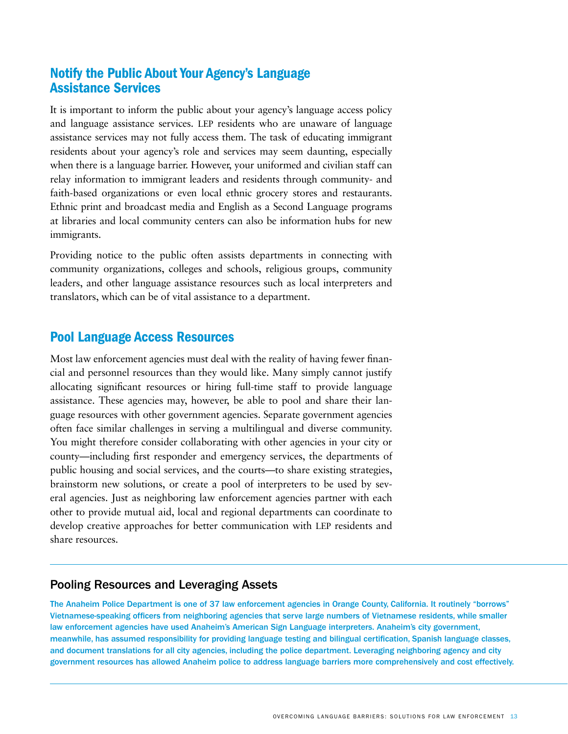#### Notify the Public About Your Agency's Language Assistance Services

It is important to inform the public about your agency's language access policy and language assistance services. LEP residents who are unaware of language assistance services may not fully access them. The task of educating immigrant residents about your agency's role and services may seem daunting, especially when there is a language barrier. However, your uniformed and civilian staff can relay information to immigrant leaders and residents through community- and faith-based organizations or even local ethnic grocery stores and restaurants. Ethnic print and broadcast media and English as a Second Language programs at libraries and local community centers can also be information hubs for new immigrants.

Providing notice to the public often assists departments in connecting with community organizations, colleges and schools, religious groups, community leaders, and other language assistance resources such as local interpreters and translators, which can be of vital assistance to a department.

#### Pool Language Access Resources

Most law enforcement agencies must deal with the reality of having fewer financial and personnel resources than they would like. Many simply cannot justify allocating significant resources or hiring full-time staff to provide language assistance. These agencies may, however, be able to pool and share their language resources with other government agencies. Separate government agencies often face similar challenges in serving a multilingual and diverse community. You might therefore consider collaborating with other agencies in your city or county—including first responder and emergency services, the departments of public housing and social services, and the courts—to share existing strategies, brainstorm new solutions, or create a pool of interpreters to be used by several agencies. Just as neighboring law enforcement agencies partner with each other to provide mutual aid, local and regional departments can coordinate to develop creative approaches for better communication with LEP residents and share resources.

#### Pooling Resources and Leveraging Assets

The Anaheim Police Department is one of 37 law enforcement agencies in Orange County, California. It routinely "borrows" Vietnamese-speaking officers from neighboring agencies that serve large numbers of Vietnamese residents, while smaller law enforcement agencies have used Anaheim's American Sign Language interpreters. Anaheim's city government, meanwhile, has assumed responsibility for providing language testing and bilingual certification, Spanish language classes, and document translations for all city agencies, including the police department. Leveraging neighboring agency and city government resources has allowed Anaheim police to address language barriers more comprehensively and cost effectively.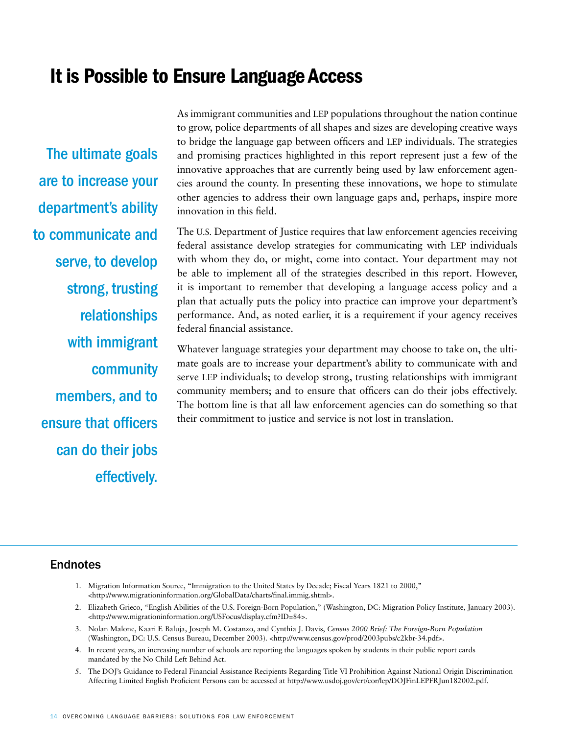### It is Possible to Ensure Language Access

The ultimate goals are to increase your department's ability to communicate and serve, to develop strong, trusting relationships with immigrant community members, and to ensure that officers can do their jobs effectively.

As immigrant communities and LEP populations throughout the nation continue to grow, police departments of all shapes and sizes are developing creative ways to bridge the language gap between officers and LEP individuals. The strategies and promising practices highlighted in this report represent just a few of the innovative approaches that are currently being used by law enforcement agencies around the county. In presenting these innovations, we hope to stimulate other agencies to address their own language gaps and, perhaps, inspire more innovation in this field.

The U.S. Department of Justice requires that law enforcement agencies receiving federal assistance develop strategies for communicating with LEP individuals with whom they do, or might, come into contact. Your department may not be able to implement all of the strategies described in this report. However, it is important to remember that developing a language access policy and a plan that actually puts the policy into practice can improve your department's performance. And, as noted earlier, it is a requirement if your agency receives federal financial assistance.

Whatever language strategies your department may choose to take on, the ultimate goals are to increase your department's ability to communicate with and serve LEP individuals; to develop strong, trusting relationships with immigrant community members; and to ensure that officers can do their jobs effectively. The bottom line is that all law enforcement agencies can do something so that their commitment to justice and service is not lost in translation.

#### Endnotes

- 1. Migration Information Source, "Immigration to the United States by Decade; Fiscal Years 1821 to 2000," <http://www.migrationinformation.org/GlobalData/charts/final.immig.shtml>.
- 2. Elizabeth Grieco, "English Abilities of the U.S. Foreign-Born Population," (Washington, DC: Migration Policy Institute, January 2003). <http://www.migrationinformation.org/USFocus/display.cfm?ID=84>.
- 3. Nolan Malone, Kaari F. Baluja, Joseph M. Costanzo, and Cynthia J. Davis, *Census 2000 Brief: The Foreign-Born Population* (Washington, DC: U.S. Census Bureau, December 2003). <http://www.census.gov/prod/2003pubs/c2kbr-34.pdf>.
- 4. In recent years, an increasing number of schools are reporting the languages spoken by students in their public report cards mandated by the No Child Left Behind Act.
- 5. The DOJ's Guidance to Federal Financial Assistance Recipients Regarding Title VI Prohibition Against National Origin Discrimination Affecting Limited English Proficient Persons can be accessed at http://www.usdoj.gov/crt/cor/lep/DOJFinLEPFRJun182002.pdf.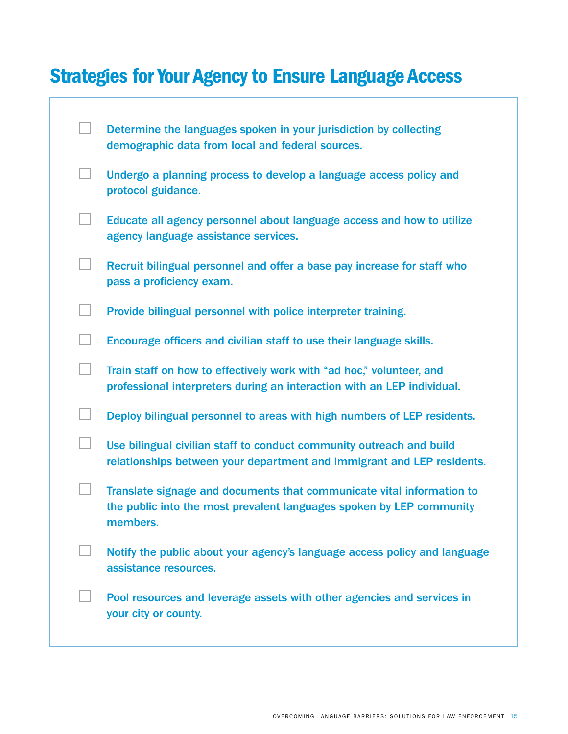## Strategies for Your Agency to Ensure Language Access

|                          | Determine the languages spoken in your jurisdiction by collecting<br>demographic data from local and federal sources.                                     |
|--------------------------|-----------------------------------------------------------------------------------------------------------------------------------------------------------|
| $\Box$                   | Undergo a planning process to develop a language access policy and<br>protocol guidance.                                                                  |
| $\Box$                   | Educate all agency personnel about language access and how to utilize<br>agency language assistance services.                                             |
| $\Box$                   | Recruit bilingual personnel and offer a base pay increase for staff who<br>pass a proficiency exam.                                                       |
| $\vert \ \ \vert$        | Provide bilingual personnel with police interpreter training.                                                                                             |
| $\overline{\phantom{a}}$ | Encourage officers and civilian staff to use their language skills.                                                                                       |
| $\mathbb{R}^n$           | Train staff on how to effectively work with "ad hoc," volunteer, and<br>professional interpreters during an interaction with an LEP individual.           |
| $\Box$                   | Deploy bilingual personnel to areas with high numbers of LEP residents.                                                                                   |
| $\Box$                   | Use bilingual civilian staff to conduct community outreach and build<br>relationships between your department and immigrant and LEP residents.            |
|                          | Translate signage and documents that communicate vital information to<br>the public into the most prevalent languages spoken by LEP community<br>members. |
|                          | Notify the public about your agency's language access policy and language<br>assistance resources.                                                        |
|                          | Pool resources and leverage assets with other agencies and services in<br>your city or county.                                                            |
|                          |                                                                                                                                                           |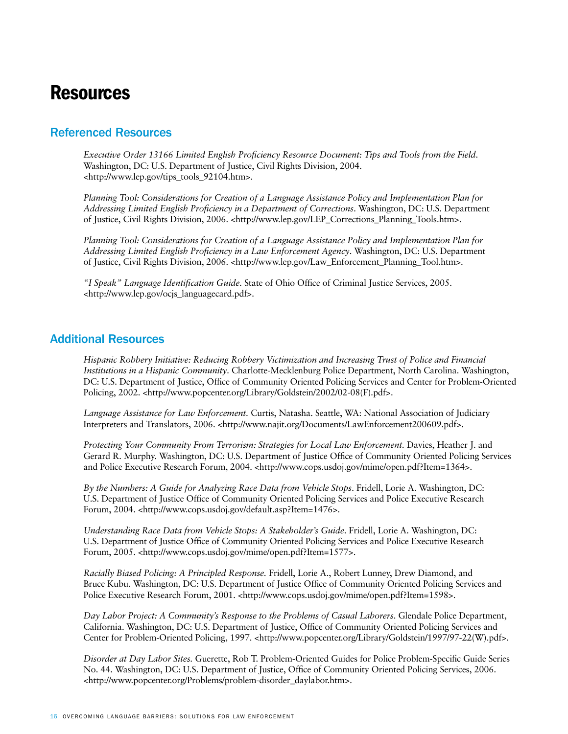### Resources

#### Referenced Resources

*Executive Order 13166 Limited English Proficiency Resource Document: Tips and Tools from the Field*. Washington, DC: U.S. Department of Justice, Civil Rights Division, 2004. <http://www.lep.gov/tips\_tools\_92104.htm>.

*Planning Tool: Considerations for Creation of a Language Assistance Policy and Implementation Plan for Addressing Limited English Proficiency in a Department of Corrections*. Washington, DC: U.S. Department of Justice, Civil Rights Division, 2006. <http://www.lep.gov/LEP\_Corrections\_Planning\_Tools.htm>.

*Planning Tool: Considerations for Creation of a Language Assistance Policy and Implementation Plan for Addressing Limited English Proficiency in a Law Enforcement Agency*. Washington, DC: U.S. Department of Justice, Civil Rights Division, 2006. <http://www.lep.gov/Law\_Enforcement\_Planning\_Tool.htm>.

*"I Speak" Language Identification Guide.* State of Ohio Office of Criminal Justice Services, 2005. <http://www.lep.gov/ocjs\_languagecard.pdf>.

#### Additional Resources

*Hispanic Robbery Initiative: Reducing Robbery Victimization and Increasing Trust of Police and Financial Institutions in a Hispanic Community*. Charlotte-Mecklenburg Police Department, North Carolina. Washington, DC: U.S. Department of Justice, Office of Community Oriented Policing Services and Center for Problem-Oriented Policing, 2002. <http://www.popcenter.org/Library/Goldstein/2002/02-08(F).pdf>.

*Language Assistance for Law Enforcement.* Curtis, Natasha. Seattle, WA: National Association of Judiciary Interpreters and Translators, 2006. <http://www.najit.org/Documents/LawEnforcement200609.pdf>.

*Protecting Your Community From Terrorism: Strategies for Local Law Enforcement.* Davies, Heather J. and Gerard R. Murphy. Washington, DC: U.S. Department of Justice Office of Community Oriented Policing Services and Police Executive Research Forum, 2004. <http://www.cops.usdoj.gov/mime/open.pdf?Item=1364>.

*By the Numbers: A Guide for Analyzing Race Data from Vehicle Stops*. Fridell, Lorie A. Washington, DC: U.S. Department of Justice Office of Community Oriented Policing Services and Police Executive Research Forum, 2004. <http://www.cops.usdoj.gov/default.asp?Item=1476>.

*Understanding Race Data from Vehicle Stops: A Stakeholder's Guide*. Fridell, Lorie A. Washington, DC: U.S. Department of Justice Office of Community Oriented Policing Services and Police Executive Research Forum, 2005. <http://www.cops.usdoj.gov/mime/open.pdf?Item=1577>.

*Racially Biased Policing: A Principled Response.* Fridell, Lorie A., Robert Lunney, Drew Diamond, and Bruce Kubu. Washington, DC: U.S. Department of Justice Office of Community Oriented Policing Services and Police Executive Research Forum, 2001. <http://www.cops.usdoj.gov/mime/open.pdf?Item=1598>.

*Day Labor Project: A Community's Response to the Problems of Casual Laborers*. Glendale Police Department, California. Washington, DC: U.S. Department of Justice, Office of Community Oriented Policing Services and Center for Problem-Oriented Policing, 1997. <http://www.popcenter.org/Library/Goldstein/1997/97-22(W).pdf>.

*Disorder at Day Labor Sites.* Guerette, Rob T. Problem-Oriented Guides for Police Problem-Specific Guide Series No. 44. Washington, DC: U.S. Department of Justice, Office of Community Oriented Policing Services, 2006. <http://www.popcenter.org/Problems/problem-disorder\_daylabor.htm>.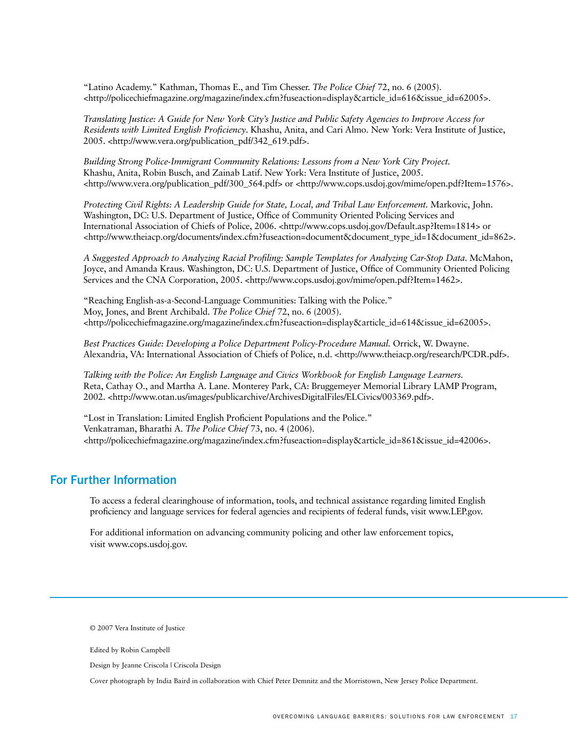"Latino Academy." Kathman, Thomas E., and Tim Chesser. *The Police Chief* 72, no. 6 (2005). <http://policechiefmagazine.org/magazine/index.cfm?fuseaction=display&article\_id=616&issue\_id=62005>.

*Translating Justice: A Guide for New York City's Justice and Public Safety Agencies to Improve Access for Residents with Limited English Proficiency*. Khashu, Anita, and Cari Almo. New York: Vera Institute of Justice, 2005. <http://www.vera.org/publication\_pdf/342\_619.pdf>.

*Building Strong Police-Immigrant Community Relations: Lessons from a New York City Project.*  Khashu, Anita, Robin Busch, and Zainab Latif. New York: Vera Institute of Justice, 2005.  $\text{http://www.vera.org/publication.pdf/300_564.pdf}$  or  $\text{http://www.cops.usdoj.gov/mine/open.pdf?Item=1576>$ .

*Protecting Civil Rights: A Leadership Guide for State, Local, and Tribal Law Enforcement.* Markovic, John. Washington, DC: U.S. Department of Justice, Office of Community Oriented Policing Services and International Association of Chiefs of Police, 2006. <http://www.cops.usdoj.gov/Default.asp?Item=1814> or <http://www.theiacp.org/documents/index.cfm?fuseaction=document&document\_type\_id=1&document\_id=862>.

*A Suggested Approach to Analyzing Racial Profiling: Sample Templates for Analyzing Car-Stop Data*. McMahon, Joyce, and Amanda Kraus. Washington, DC: U.S. Department of Justice, Office of Community Oriented Policing Services and the CNA Corporation, 2005. <http://www.cops.usdoj.gov/mime/open.pdf?Item=1462>.

"Reaching English-as-a-Second-Language Communities: Talking with the Police." Moy, Jones, and Brent Archibald. *The Police Chief* 72, no. 6 (2005). <http://policechiefmagazine.org/magazine/index.cfm?fuseaction=display&article\_id=614&issue\_id=62005>.

*Best Practices Guide: Developing a Police Department Policy-Procedure Manual.* Orrick, W. Dwayne. Alexandria, VA: International Association of Chiefs of Police, n.d. <http://www.theiacp.org/research/PCDR.pdf>.

*Talking with the Police: An English Language and Civics Workbook for English Language Learners.*  Reta, Cathay O., and Martha A. Lane. Monterey Park, CA: Bruggemeyer Memorial Library LAMP Program, 2002. <http://www.otan.us/images/publicarchive/ArchivesDigitalFiles/ELCivics/003369.pdf>.

"Lost in Translation: Limited English Proficient Populations and the Police." Venkatraman, Bharathi A. *The Police Chief* 73, no. 4 (2006). <http://policechiefmagazine.org/magazine/index.cfm?fuseaction=display&article\_id=861&issue\_id=42006>.

#### For Further Information

To access a federal clearinghouse of information, tools, and technical assistance regarding limited English proficiency and language services for federal agencies and recipients of federal funds, visit www.LEP.gov.

For additional information on advancing community policing and other law enforcement topics, visit www.cops.usdoj.gov.

© 2007 Vera Institute of Justice

Edited by Robin Campbell

Design by Jeanne Criscola | Criscola Design

Cover photograph by India Baird in collaboration with Chief Peter Demnitz and the Morristown, New Jersey Police Department.